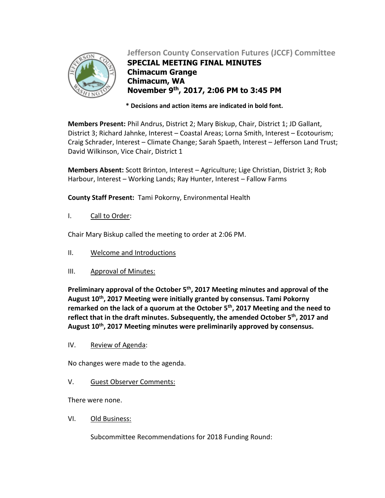

# **Jefferson County Conservation Futures (JCCF) Committee**

**SPECIAL MEETING FINAL MINUTES Chimacum Grange Chimacum, WA November 9 th, 2017, 2:06 PM to 3:45 PM**

 **\* Decisions and action items are indicated in bold font.**

**Members Present:** Phil Andrus, District 2; Mary Biskup, Chair, District 1; JD Gallant, District 3; Richard Jahnke, Interest – Coastal Areas; Lorna Smith, Interest – Ecotourism; Craig Schrader, Interest – Climate Change; Sarah Spaeth, Interest – Jefferson Land Trust; David Wilkinson, Vice Chair, District 1

**Members Absent:** Scott Brinton, Interest – Agriculture; Lige Christian, District 3; Rob Harbour, Interest – Working Lands; Ray Hunter, Interest – Fallow Farms

**County Staff Present:** Tami Pokorny, Environmental Health

I. Call to Order:

Chair Mary Biskup called the meeting to order at 2:06 PM.

- II. Welcome and Introductions
- III. Approval of Minutes:

**Preliminary approval of the October 5 th , 2017 Meeting minutes and approval of the August 10th, 2017 Meeting were initially granted by consensus. Tami Pokorny remarked on the lack of a quorum at the October 5th, 2017 Meeting and the need to reflect that in the draft minutes. Subsequently, the amended October 5th, 2017 and August 10th, 2017 Meeting minutes were preliminarily approved by consensus.**

IV. Review of Agenda:

No changes were made to the agenda.

V. Guest Observer Comments:

There were none.

VI. Old Business:

Subcommittee Recommendations for 2018 Funding Round: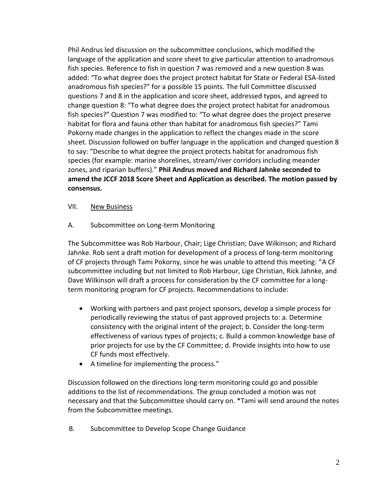Phil Andrus led discussion on the subcommittee conclusions, which modified the language of the application and score sheet to give particular attention to anadromous fish species. Reference to fish in question 7 was removed and a new question 8 was added: "To what degree does the project protect habitat for State or Federal ESA-listed anadromous fish species?" for a possible 15 points. The full Committee discussed questions 7 and 8 in the application and score sheet, addressed typos, and agreed to change question 8: "To what degree does the project protect habitat for anadromous fish species?" Question 7 was modified to: "To what degree does the project preserve habitat for flora and fauna other than habitat for anadromous fish species?" Tami Pokorny made changes in the application to reflect the changes made in the score sheet. Discussion followed on buffer language in the application and changed question 8 to say: "Describe to what degree the project protects habitat for anadromous fish species (for example: marine shorelines, stream/river corridors including meander zones, and riparian buffers)." **Phil Andrus moved and Richard Jahnke seconded to amend the JCCF 2018 Score Sheet and Application as described. The motion passed by consensus.**

### VII. New Business

A. Subcommittee on Long-term Monitoring

The Subcommittee was Rob Harbour, Chair; Lige Christian; Dave Wilkinson; and Richard Jahnke. Rob sent a draft motion for development of a process of long-term monitoring of CF projects through Tami Pokorny, since he was unable to attend this meeting: "A CF subcommittee including but not limited to Rob Harbour, Lige Christian, Rick Jahnke, and Dave Wilkinson will draft a process for consideration by the CF committee for a longterm monitoring program for CF projects. Recommendations to include:

- Working with partners and past project sponsors, develop a simple process for periodically reviewing the status of past approved projects to: a. Determine consistency with the original intent of the project; b. Consider the long-term effectiveness of various types of projects; c. Build a common knowledge base of prior projects for use by the CF Committee; d. Provide insights into how to use CF funds most effectively.
- A timeline for implementing the process."

Discussion followed on the directions long-term monitoring could go and possible additions to the list of recommendations. The group concluded a motion was not necessary and that the Subcommittee should carry on. \*Tami will send around the notes from the Subcommittee meetings.

B. Subcommittee to Develop Scope Change Guidance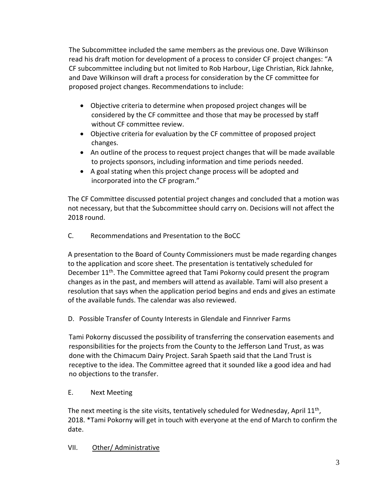The Subcommittee included the same members as the previous one. Dave Wilkinson read his draft motion for development of a process to consider CF project changes: "A CF subcommittee including but not limited to Rob Harbour, Lige Christian, Rick Jahnke, and Dave Wilkinson will draft a process for consideration by the CF committee for proposed project changes. Recommendations to include:

- Objective criteria to determine when proposed project changes will be considered by the CF committee and those that may be processed by staff without CF committee review.
- Objective criteria for evaluation by the CF committee of proposed project changes.
- An outline of the process to request project changes that will be made available to projects sponsors, including information and time periods needed.
- A goal stating when this project change process will be adopted and incorporated into the CF program."

The CF Committee discussed potential project changes and concluded that a motion was not necessary, but that the Subcommittee should carry on. Decisions will not affect the 2018 round.

C. Recommendations and Presentation to the BoCC

A presentation to the Board of County Commissioners must be made regarding changes to the application and score sheet. The presentation is tentatively scheduled for December 11<sup>th</sup>. The Committee agreed that Tami Pokorny could present the program changes as in the past, and members will attend as available. Tami will also present a resolution that says when the application period begins and ends and gives an estimate of the available funds. The calendar was also reviewed.

D. Possible Transfer of County Interests in Glendale and Finnriver Farms

Tami Pokorny discussed the possibility of transferring the conservation easements and responsibilities for the projects from the County to the Jefferson Land Trust, as was done with the Chimacum Dairy Project. Sarah Spaeth said that the Land Trust is receptive to the idea. The Committee agreed that it sounded like a good idea and had no objections to the transfer.

## E. Next Meeting

The next meeting is the site visits, tentatively scheduled for Wednesday, April  $11<sup>th</sup>$ , 2018. \*Tami Pokorny will get in touch with everyone at the end of March to confirm the date.

## VII. Other/ Administrative